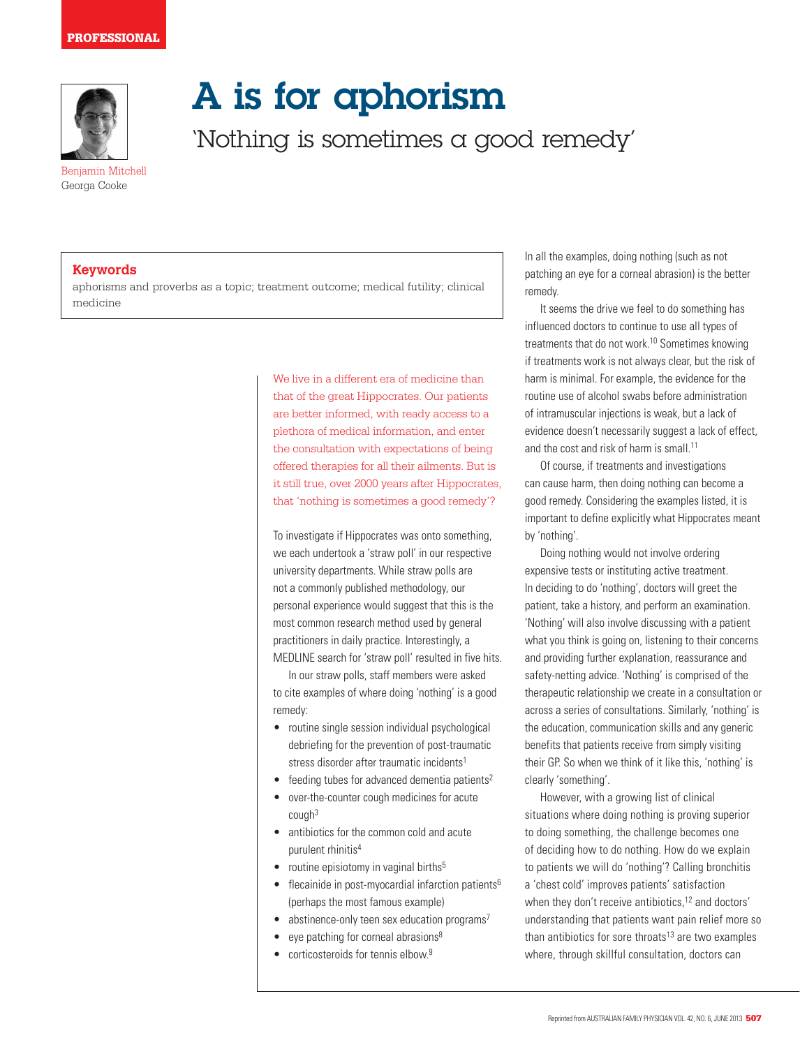

Benjamin Mitchell Georga Cooke

## A is for aphorism

'Nothing is sometimes a good remedy'

**Keywords**

aphorisms and proverbs as a topic; treatment outcome; medical futility; clinical medicine

> We live in a different era of medicine than that of the great Hippocrates. Our patients are better informed, with ready access to a plethora of medical information, and enter the consultation with expectations of being offered therapies for all their ailments. But is it still true, over 2000 years after Hippocrates, that 'nothing is sometimes a good remedy'?

> To investigate if Hippocrates was onto something, we each undertook a 'straw poll' in our respective university departments. While straw polls are not a commonly published methodology, our personal experience would suggest that this is the most common research method used by general practitioners in daily practice. Interestingly, a MEDLINE search for 'straw poll' resulted in five hits.

In our straw polls, staff members were asked to cite examples of where doing 'nothing' is a good remedy:

- routine single session individual psychological debriefing for the prevention of post-traumatic stress disorder after traumatic incidents<sup>1</sup>
- $\bullet$  feeding tubes for advanced dementia patients<sup>2</sup>
- • over-the-counter cough medicines for acute  $c$ ough $3$
- antibiotics for the common cold and acute purulent rhinitis<sup>4</sup>
- routine episiotomy in vaginal births $5$
- $\bullet$  flecainide in post-myocardial infarction patients<sup>6</sup> (perhaps the most famous example)
- $\bullet$  abstinence-only teen sex education programs<sup>7</sup>
- eye patching for corneal abrasions $8$
- corticosteroids for tennis elbow.<sup>9</sup>

In all the examples, doing nothing (such as not patching an eye for a corneal abrasion) is the better remedy.

It seems the drive we feel to do something has influenced doctors to continue to use all types of treatments that do not work.10 Sometimes knowing if treatments work is not always clear, but the risk of harm is minimal. For example, the evidence for the routine use of alcohol swabs before administration of intramuscular injections is weak, but a lack of evidence doesn't necessarily suggest a lack of effect, and the cost and risk of harm is small.<sup>11</sup>

Of course, if treatments and investigations can cause harm, then doing nothing can become a good remedy. Considering the examples listed, it is important to define explicitly what Hippocrates meant by 'nothing'.

Doing nothing would not involve ordering expensive tests or instituting active treatment. In deciding to do 'nothing', doctors will greet the patient, take a history, and perform an examination. 'Nothing' will also involve discussing with a patient what you think is going on, listening to their concerns and providing further explanation, reassurance and safety-netting advice. 'Nothing' is comprised of the therapeutic relationship we create in a consultation or across a series of consultations. Similarly, 'nothing' is the education, communication skills and any generic benefits that patients receive from simply visiting their GP. So when we think of it like this, 'nothing' is clearly 'something'.

However, with a growing list of clinical situations where doing nothing is proving superior to doing something, the challenge becomes one of deciding how to do nothing. How do we explain to patients we will do 'nothing'? Calling bronchitis a 'chest cold' improves patients' satisfaction when they don't receive antibiotics,<sup>12</sup> and doctors' understanding that patients want pain relief more so than antibiotics for sore throats<sup>13</sup> are two examples where, through skillful consultation, doctors can